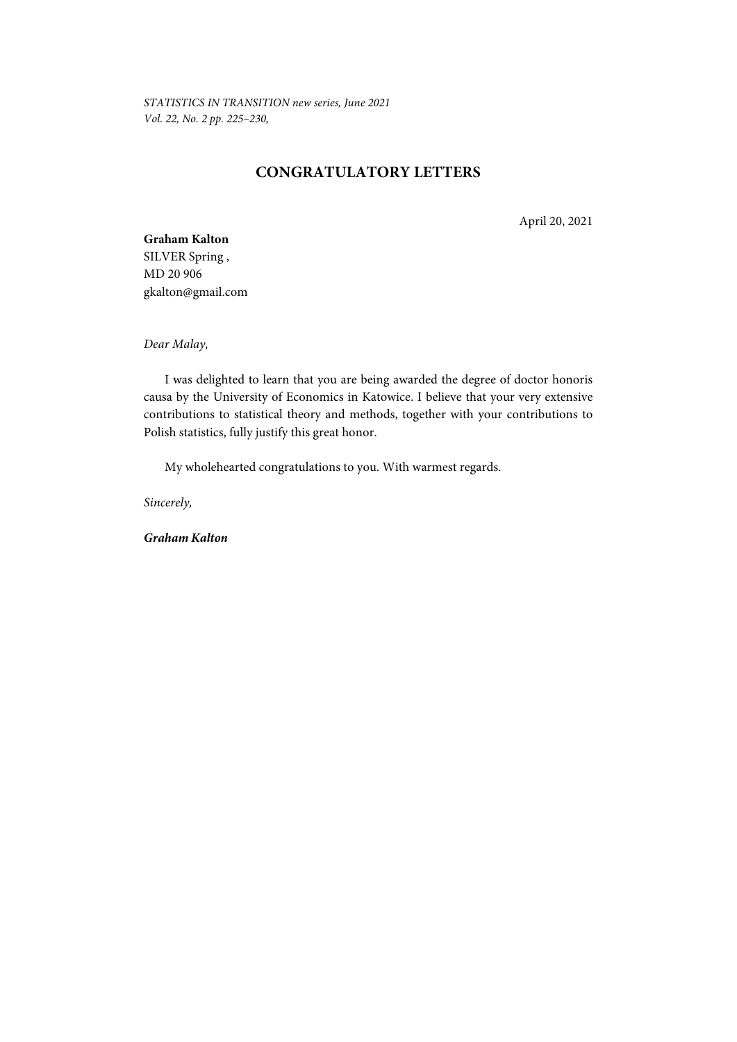*STATISTICS IN TRANSITION new series, June 2021 Vol. 22, No. 2 pp. 225–230,* 

# **CONGRATULATORY LETTERS**

April 20, 2021

## **Graham Kalton**  SILVER Spring ,

MD 20 906 gkalton@gmail.com

*Dear Malay,* 

I was delighted to learn that you are being awarded the degree of doctor honoris causa by the University of Economics in Katowice. I believe that your very extensive contributions to statistical theory and methods, together with your contributions to Polish statistics, fully justify this great honor.

My wholehearted congratulations to you. With warmest regards.

*Sincerely,* 

*Graham Kalton*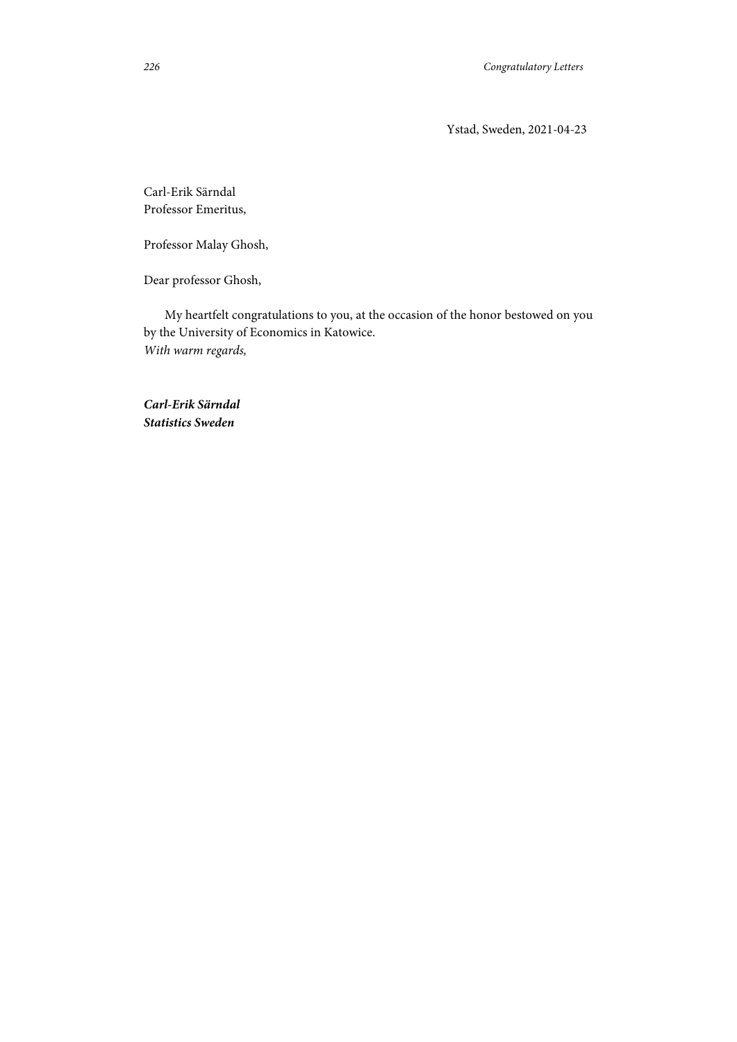Ystad, Sweden, 2021-04-23

Carl-Erik Särndal Professor Emeritus,

Professor Malay Ghosh,

Dear professor Ghosh,

My heartfelt congratulations to you, at the occasion of the honor bestowed on you by the University of Economics in Katowice. *With warm regards,* 

*Carl-Erik Särndal Statistics Sweden*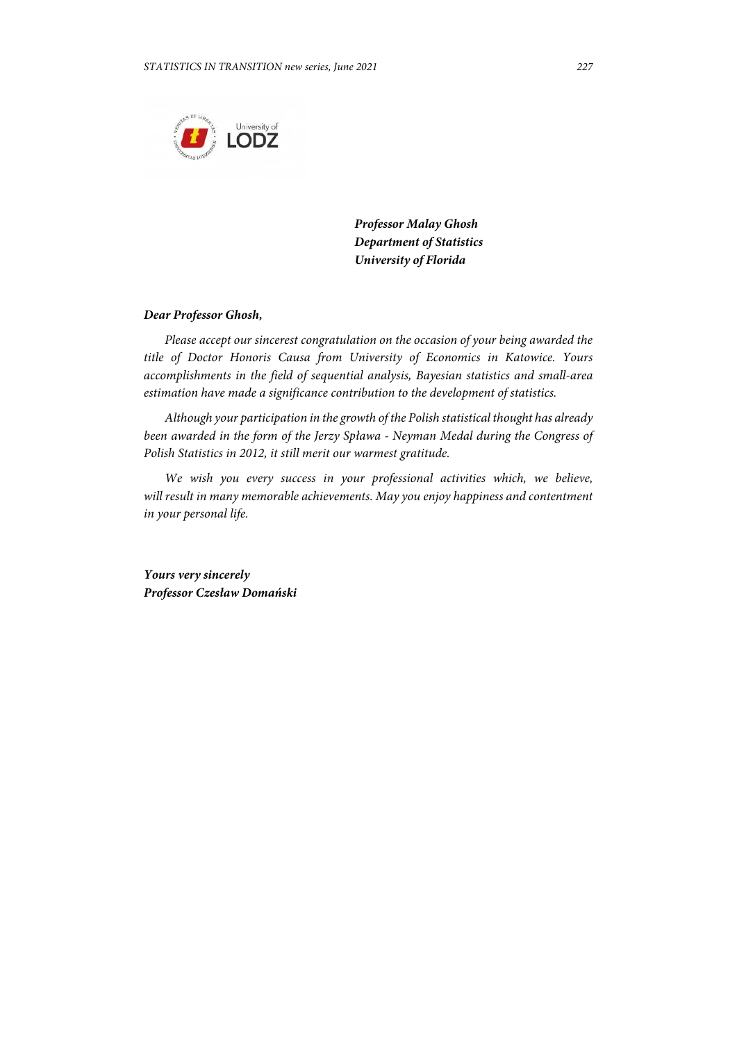

*Professor Malay Ghosh Department of Statistics University of Florida* 

#### *Dear Professor Ghosh,*

*Please accept our sincerest congratulation on the occasion of your being awarded the title of Doctor Honoris Causa from University of Economics in Katowice. Yours accomplishments in the field of sequential analysis, Bayesian statistics and small-area estimation have made a significance contribution to the development of statistics.* 

*Although your participation in the growth of the Polish statistical thought has already been awarded in the form of the Jerzy Spława - Neyman Medal during the Congress of Polish Statistics in 2012, it still merit our warmest gratitude.* 

*We wish you every success in your professional activities which, we believe, will result in many memorable achievements. May you enjoy happiness and contentment in your personal life.* 

*Yours very sincerely Professor Czesław Domański*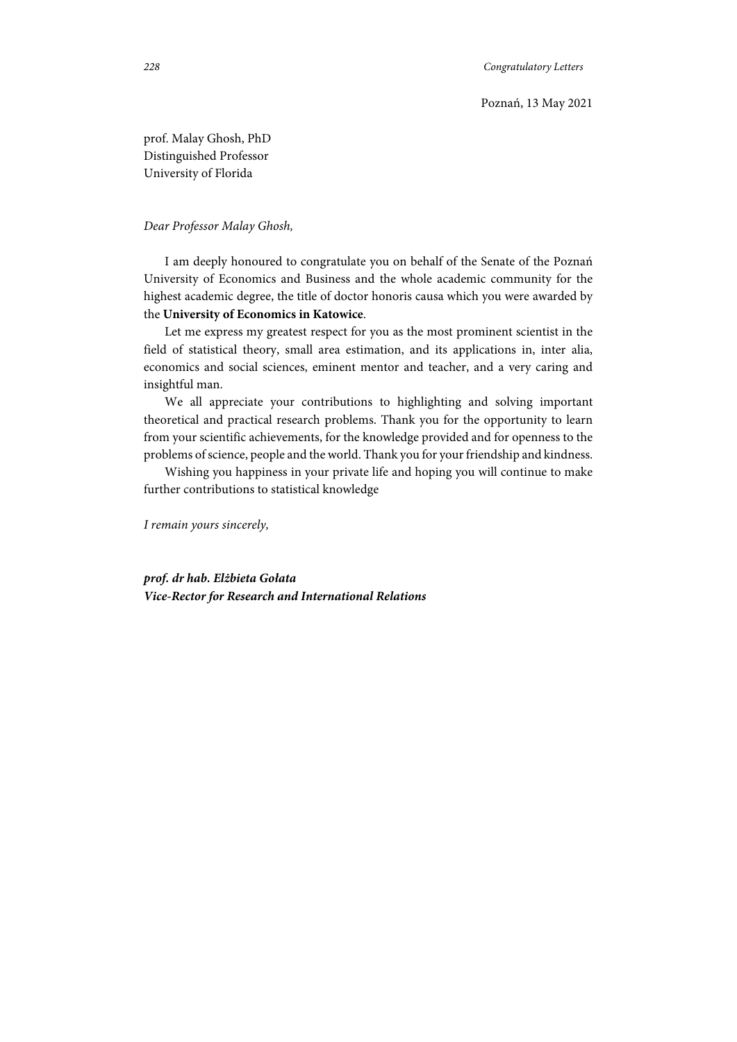prof. Malay Ghosh, PhD Distinguished Professor University of Florida

### *Dear Professor Malay Ghosh,*

I am deeply honoured to congratulate you on behalf of the Senate of the Poznań University of Economics and Business and the whole academic community for the highest academic degree, the title of doctor honoris causa which you were awarded by the **University of Economics in Katowice**.

Let me express my greatest respect for you as the most prominent scientist in the field of statistical theory, small area estimation, and its applications in, inter alia, economics and social sciences, eminent mentor and teacher, and a very caring and insightful man.

We all appreciate your contributions to highlighting and solving important theoretical and practical research problems. Thank you for the opportunity to learn from your scientific achievements, for the knowledge provided and for openness to the problems of science, people and the world. Thank you for your friendship and kindness.

Wishing you happiness in your private life and hoping you will continue to make further contributions to statistical knowledge

*I remain yours sincerely,* 

*prof. dr hab. Elżbieta Gołata Vice-Rector for Research and International Relations*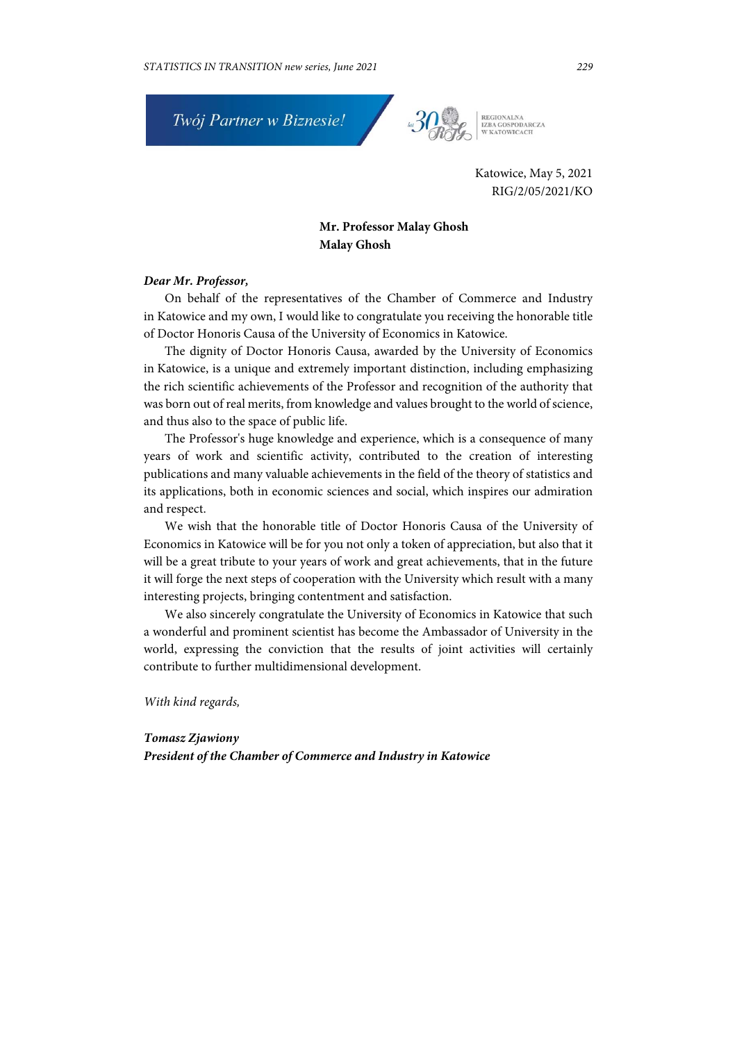

REGIONALNA<br>IZBA GOSPODARCZA<br>W KATOWICACH

Katowice, May 5, 2021 RIG/2/05/2021/KO

## **Mr. Professor Malay Ghosh Malay Ghosh**

#### *Dear Mr. Professor,*

On behalf of the representatives of the Chamber of Commerce and Industry in Katowice and my own, I would like to congratulate you receiving the honorable title of Doctor Honoris Causa of the University of Economics in Katowice.

The dignity of Doctor Honoris Causa, awarded by the University of Economics in Katowice, is a unique and extremely important distinction, including emphasizing the rich scientific achievements of the Professor and recognition of the authority that was born out of real merits, from knowledge and values brought to the world of science, and thus also to the space of public life.

The Professor's huge knowledge and experience, which is a consequence of many years of work and scientific activity, contributed to the creation of interesting publications and many valuable achievements in the field of the theory of statistics and its applications, both in economic sciences and social, which inspires our admiration and respect.

We wish that the honorable title of Doctor Honoris Causa of the University of Economics in Katowice will be for you not only a token of appreciation, but also that it will be a great tribute to your years of work and great achievements, that in the future it will forge the next steps of cooperation with the University which result with a many interesting projects, bringing contentment and satisfaction.

We also sincerely congratulate the University of Economics in Katowice that such a wonderful and prominent scientist has become the Ambassador of University in the world, expressing the conviction that the results of joint activities will certainly contribute to further multidimensional development.

*With kind regards,* 

*Tomasz Zjawiony President of the Chamber of Commerce and Industry in Katowice*